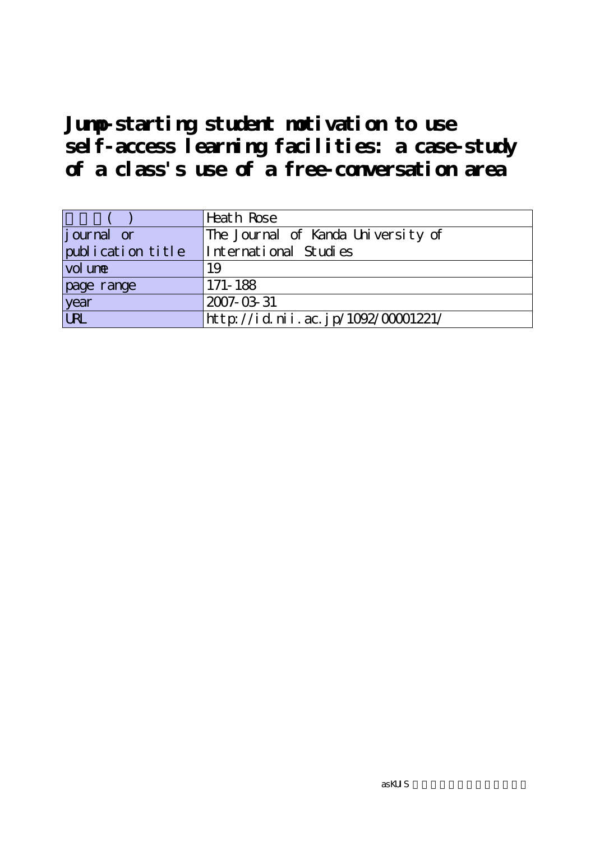|                   | Heath Rose                         |
|-------------------|------------------------------------|
| journal or        | The Journal of Kanda University of |
| publication title | International Studies              |
| vol une           | 19                                 |
| page range        | 171-188                            |
| year              | 2007-03-31                         |
| URL               | http://id.nii.ac.jp/1092/00001221/ |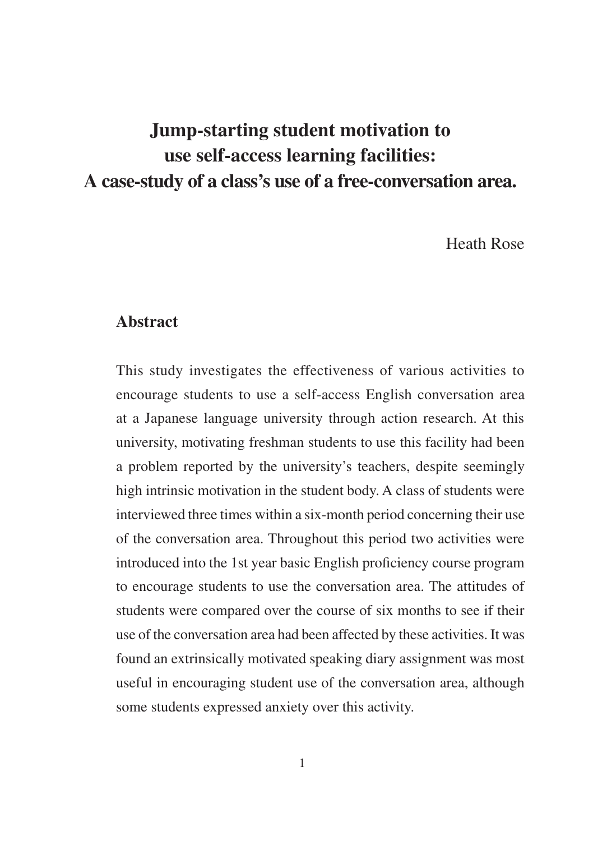Heath Rose

### **Abstract**

This study investigates the effectiveness of various activities to encourage students to use a self-access English conversation area at a Japanese language university through action research. At this university, motivating freshman students to use this facility had been a problem reported by the university's teachers, despite seemingly high intrinsic motivation in the student body. A class of students were interviewed three times within a six-month period concerning their use of the conversation area. Throughout this period two activities were introduced into the 1st year basic English proficiency course program to encourage students to use the conversation area. The attitudes of students were compared over the course of six months to see if their use of the conversation area had been affected by these activities. It was found an extrinsically motivated speaking diary assignment was most useful in encouraging student use of the conversation area, although some students expressed anxiety over this activity.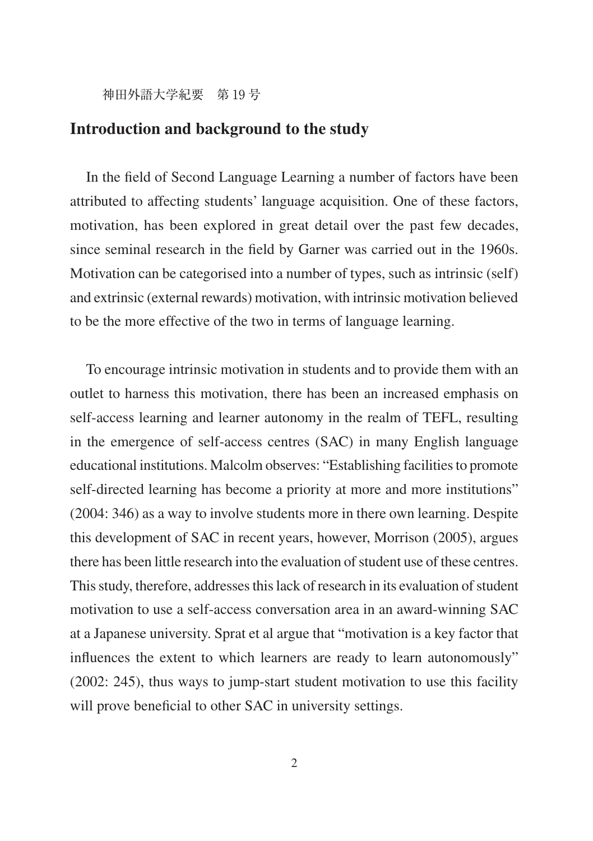### **Introduction and background to the study**

In the field of Second Language Learning a number of factors have been attributed to affecting students' language acquisition. One of these factors, motivation, has been explored in great detail over the past few decades, since seminal research in the field by Garner was carried out in the 1960s. Motivation can be categorised into a number of types, such as intrinsic (self) and extrinsic (external rewards) motivation, with intrinsic motivation believed to be the more effective of the two in terms of language learning.

To encourage intrinsic motivation in students and to provide them with an outlet to harness this motivation, there has been an increased emphasis on self-access learning and learner autonomy in the realm of TEFL, resulting in the emergence of self-access centres (SAC) in many English language educational institutions. Malcolm observes: "Establishing facilities to promote self-directed learning has become a priority at more and more institutions" (2004: 346) as a way to involve students more in there own learning. Despite this development of SAC in recent years, however, Morrison (2005), argues there has been little research into the evaluation of student use of these centres. This study, therefore, addresses this lack of research in its evaluation of student motivation to use a self-access conversation area in an award-winning SAC at a Japanese university. Sprat et al argue that "motivation is a key factor that influences the extent to which learners are ready to learn autonomously" (2002: 245), thus ways to jump-start student motivation to use this facility will prove beneficial to other SAC in university settings.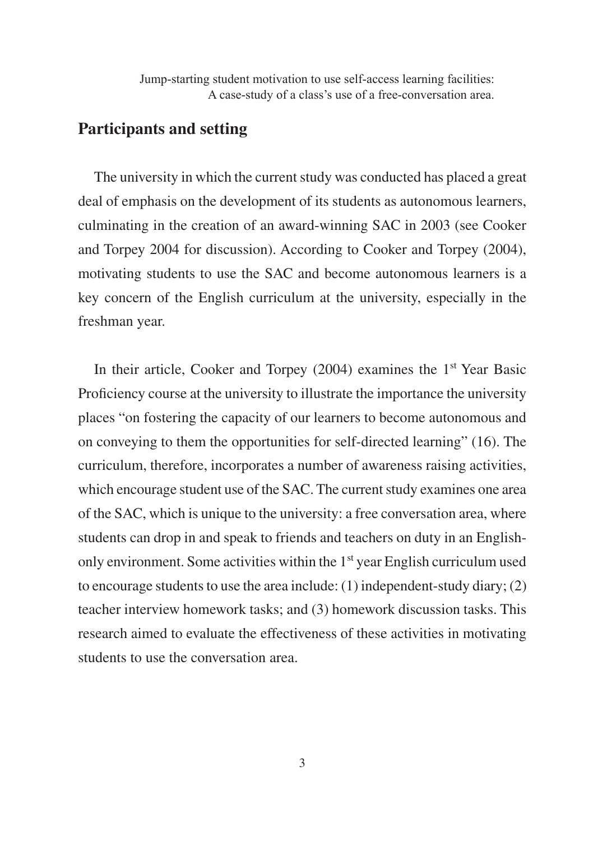# **Participants and setting**

The university in which the current study was conducted has placed a great deal of emphasis on the development of its students as autonomous learners, culminating in the creation of an award-winning SAC in 2003 (see Cooker and Torpey 2004 for discussion). According to Cooker and Torpey (2004), motivating students to use the SAC and become autonomous learners is a key concern of the English curriculum at the university, especially in the freshman year.

In their article, Cooker and Torpey  $(2004)$  examines the 1<sup>st</sup> Year Basic Proficiency course at the university to illustrate the importance the university places "on fostering the capacity of our learners to become autonomous and on conveying to them the opportunities for self-directed learning" (16). The curriculum, therefore, incorporates a number of awareness raising activities, which encourage student use of the SAC. The current study examines one area of the SAC, which is unique to the university: a free conversation area, where students can drop in and speak to friends and teachers on duty in an Englishonly environment. Some activities within the  $1<sup>st</sup>$  year English curriculum used to encourage students to use the area include: (1) independent-study diary; (2) teacher interview homework tasks; and (3) homework discussion tasks. This research aimed to evaluate the effectiveness of these activities in motivating students to use the conversation area.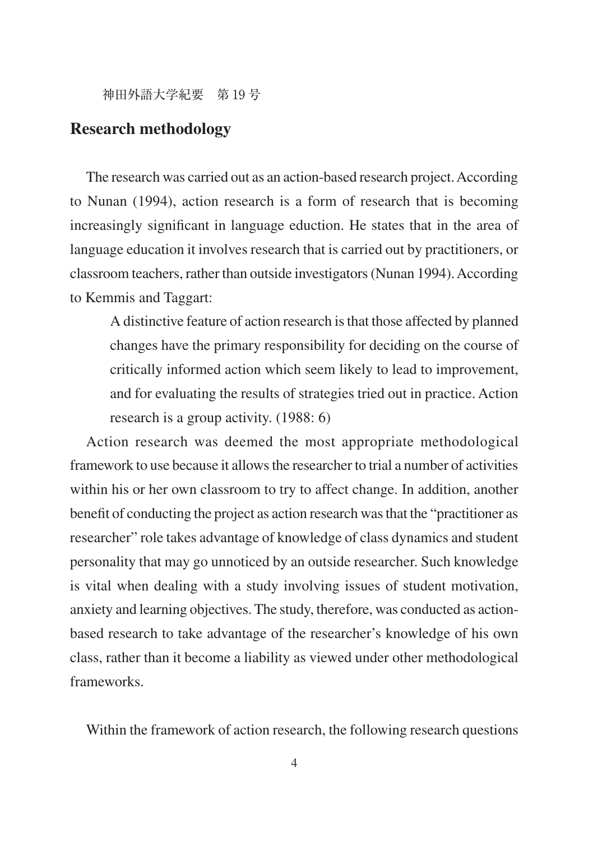# **Research methodology**

The research was carried out as an action-based research project. According to Nunan (1994), action research is a form of research that is becoming increasingly significant in language eduction. He states that in the area of language education it involves research that is carried out by practitioners, or classroom teachers, rather than outside investigators (Nunan 1994). According to Kemmis and Taggart:

A distinctive feature of action research is that those affected by planned changes have the primary responsibility for deciding on the course of critically informed action which seem likely to lead to improvement, and for evaluating the results of strategies tried out in practice. Action research is a group activity. (1988: 6)

Action research was deemed the most appropriate methodological framework to use because it allows the researcher to trial a number of activities within his or her own classroom to try to affect change. In addition, another benefit of conducting the project as action research was that the "practitioner as researcher" role takes advantage of knowledge of class dynamics and student personality that may go unnoticed by an outside researcher. Such knowledge is vital when dealing with a study involving issues of student motivation, anxiety and learning objectives. The study, therefore, was conducted as actionbased research to take advantage of the researcher's knowledge of his own class, rather than it become a liability as viewed under other methodological frameworks.

Within the framework of action research, the following research questions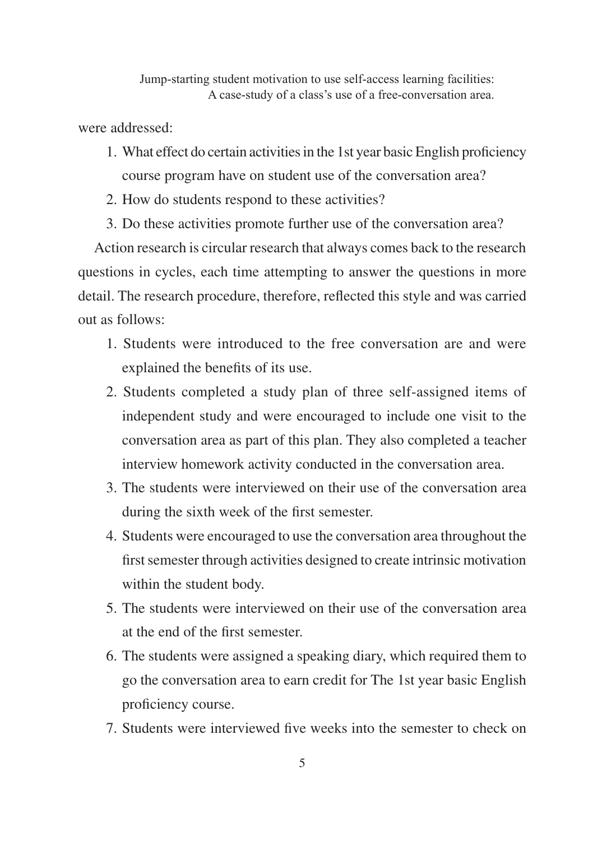were addressed:

- 1. What effect do certain activities in the 1st year basic English proficiency course program have on student use of the conversation area?
- 2. How do students respond to these activities?
- 3. Do these activities promote further use of the conversation area?

Action research is circular research that always comes back to the research questions in cycles, each time attempting to answer the questions in more detail. The research procedure, therefore, reflected this style and was carried out as follows:

- 1. Students were introduced to the free conversation are and were explained the benefits of its use.
- 2. Students completed a study plan of three self-assigned items of independent study and were encouraged to include one visit to the conversation area as part of this plan. They also completed a teacher interview homework activity conducted in the conversation area.
- 3. The students were interviewed on their use of the conversation area during the sixth week of the first semester.
- 4. Students were encouraged to use the conversation area throughout the first semester through activities designed to create intrinsic motivation within the student body.
- 5. The students were interviewed on their use of the conversation area at the end of the first semester.
- 6. The students were assigned a speaking diary, which required them to go the conversation area to earn credit for The 1st year basic English proficiency course.
- 7. Students were interviewed five weeks into the semester to check on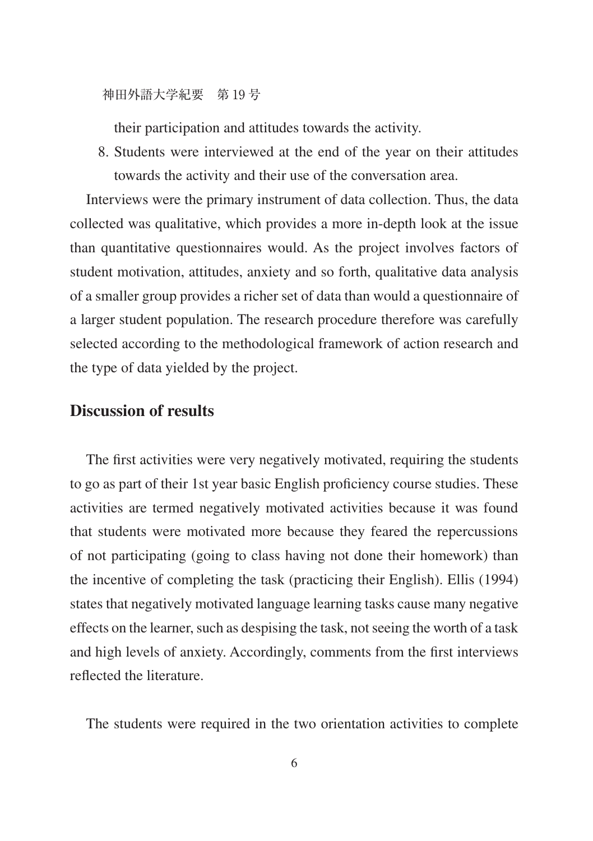their participation and attitudes towards the activity.

8. Students were interviewed at the end of the year on their attitudes towards the activity and their use of the conversation area.

Interviews were the primary instrument of data collection. Thus, the data collected was qualitative, which provides a more in-depth look at the issue than quantitative questionnaires would. As the project involves factors of student motivation, attitudes, anxiety and so forth, qualitative data analysis of a smaller group provides a richer set of data than would a questionnaire of a larger student population. The research procedure therefore was carefully selected according to the methodological framework of action research and the type of data yielded by the project.

### **Discussion of results**

The first activities were very negatively motivated, requiring the students to go as part of their 1st year basic English proficiency course studies. These activities are termed negatively motivated activities because it was found that students were motivated more because they feared the repercussions of not participating (going to class having not done their homework) than the incentive of completing the task (practicing their English). Ellis (1994) states that negatively motivated language learning tasks cause many negative effects on the learner, such as despising the task, not seeing the worth of a task and high levels of anxiety. Accordingly, comments from the first interviews reflected the literature.

The students were required in the two orientation activities to complete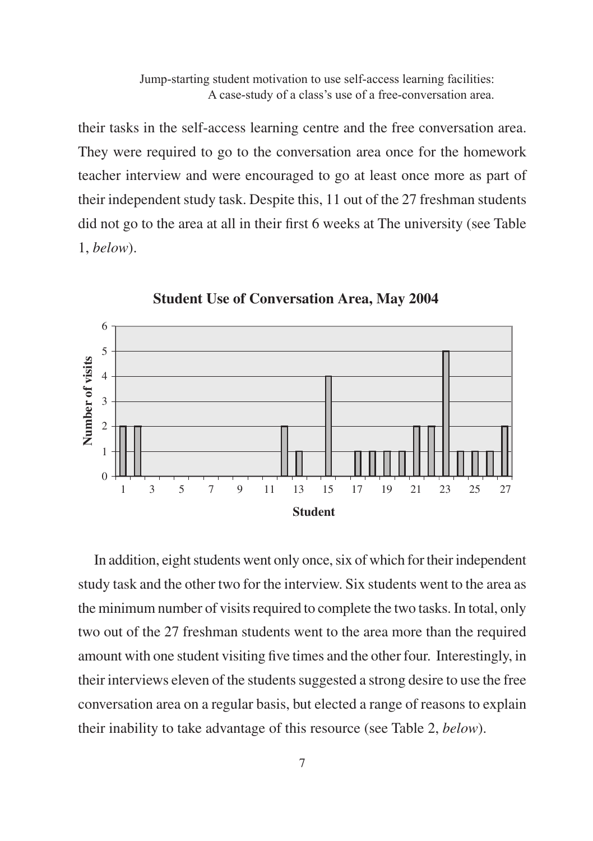their tasks in the self-access learning centre and the free conversation area. They were required to go to the conversation area once for the homework teacher interview and were encouraged to go at least once more as part of their independent study task. Despite this, 11 out of the 27 freshman students did not go to the area at all in their first 6 weeks at The university (see Table  $1.$  below).



**Student Use of Conversation Area, May 2004** 

In addition, eight students went only once, six of which for their independent study task and the other two for the interview. Six students went to the area as the minimum number of visits required to complete the two tasks. In total, only two out of the 27 freshman students went to the area more than the required amount with one student visiting five times and the other four. Interestingly, in their interviews eleven of the students suggested a strong desire to use the free conversation area on a regular basis, but elected a range of reasons to explain their inability to take advantage of this resource (see Table 2, below).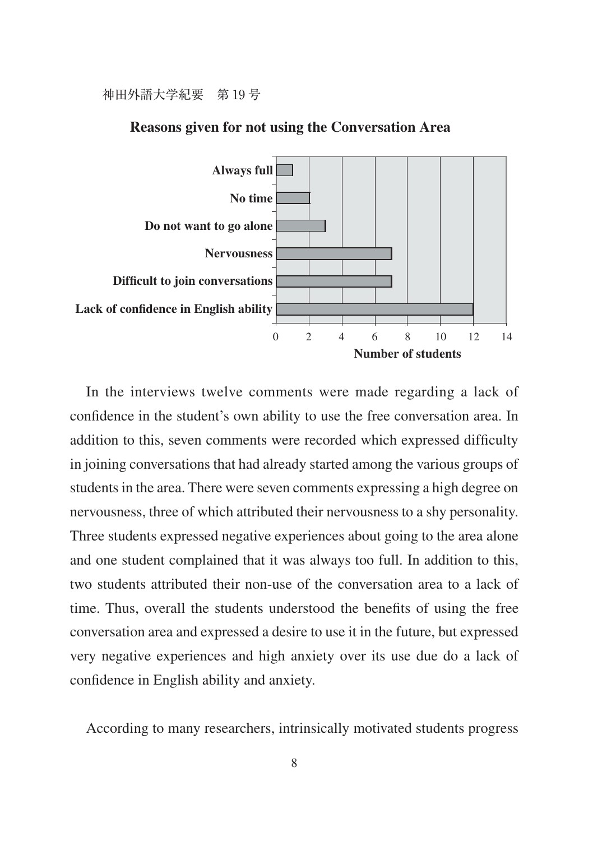

#### **Reasons given for not using the Conversation Area**

In the interviews twelve comments were made regarding a lack of confidence in the student's own ability to use the free conversation area. In addition to this, seven comments were recorded which expressed difficulty in joining conversations that had already started among the various groups of students in the area. There were seven comments expressing a high degree on nervousness, three of which attributed their nervousness to a shy personality. Three students expressed negative experiences about going to the area alone and one student complained that it was always too full. In addition to this, two students attributed their non-use of the conversation area to a lack of time. Thus, overall the students understood the benefits of using the free conversation area and expressed a desire to use it in the future, but expressed very negative experiences and high anxiety over its use due do a lack of confidence in English ability and anxiety.

According to many researchers, intrinsically motivated students progress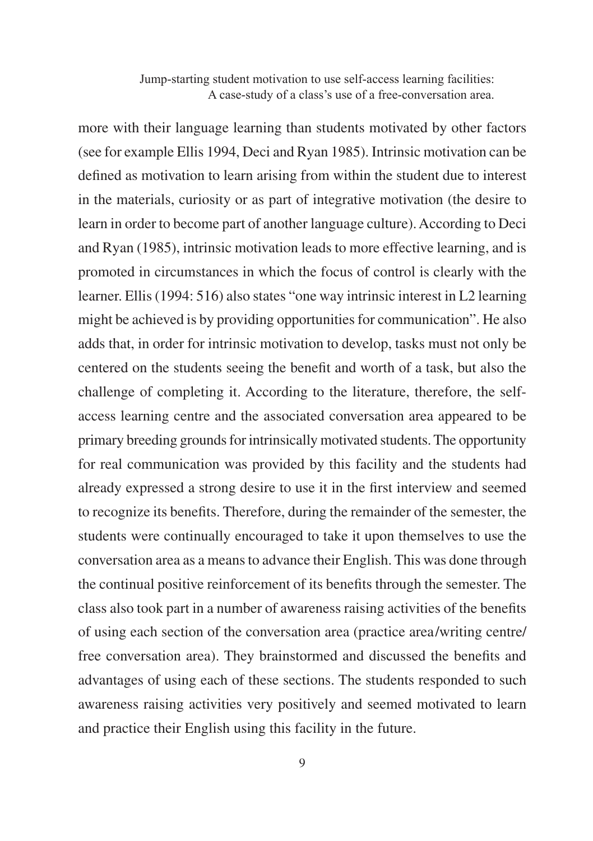more with their language learning than students motivated by other factors (see for example Ellis 1994, Deci and Ryan 1985). Intrinsic motivation can be defined as motivation to learn arising from within the student due to interest in the materials, curiosity or as part of integrative motivation (the desire to learn in order to become part of another language culture). According to Deci and Ryan (1985), intrinsic motivation leads to more effective learning, and is promoted in circumstances in which the focus of control is clearly with the learner. Ellis (1994: 516) also states "one way intrinsic interest in L2 learning might be achieved is by providing opportunities for communication". He also adds that, in order for intrinsic motivation to develop, tasks must not only be centered on the students seeing the benefit and worth of a task, but also the challenge of completing it. According to the literature, therefore, the selfaccess learning centre and the associated conversation area appeared to be primary breeding grounds for intrinsically motivated students. The opportunity for real communication was provided by this facility and the students had already expressed a strong desire to use it in the first interview and seemed to recognize its benefits. Therefore, during the remainder of the semester, the students were continually encouraged to take it upon themselves to use the conversation area as a means to advance their English. This was done through the continual positive reinforcement of its benefits through the semester. The class also took part in a number of awareness raising activities of the benefits of using each section of the conversation area (practice area/writing centre/ free conversation area). They brainstormed and discussed the benefits and advantages of using each of these sections. The students responded to such awareness raising activities very positively and seemed motivated to learn and practice their English using this facility in the future.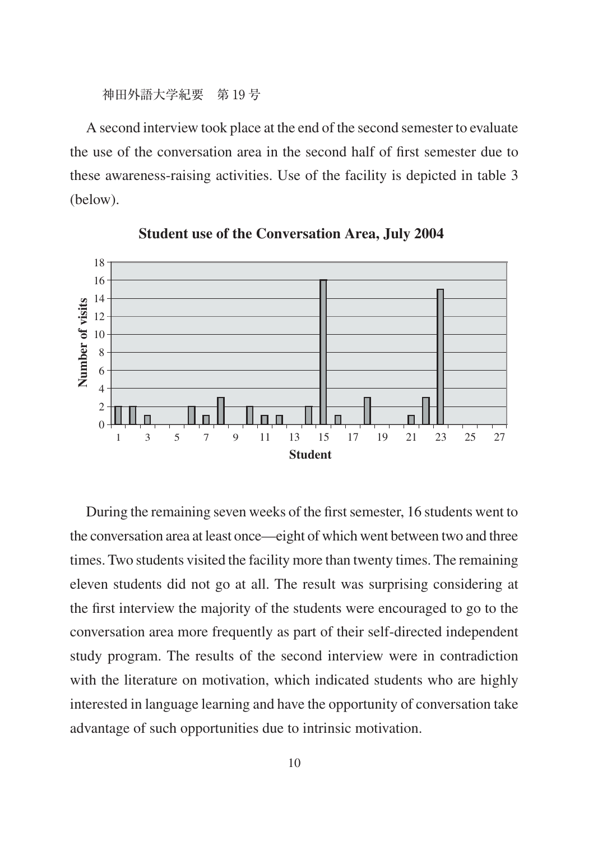神田外語大学紀要 第19号

A second interview took place at the end of the second semester to evaluate the use of the conversation area in the second half of first semester due to these awareness-raising activities. Use of the facility is depicted in table 3 (below).



**Student use of the Conversation Area, July 2004** 

During the remaining seven weeks of the first semester, 16 students went to the conversation area at least once—eight of which went between two and three times. Two students visited the facility more than twenty times. The remaining eleven students did not go at all. The result was surprising considering at the first interview the majority of the students were encouraged to go to the conversation area more frequently as part of their self-directed independent study program. The results of the second interview were in contradiction with the literature on motivation, which indicated students who are highly interested in language learning and have the opportunity of conversation take advantage of such opportunities due to intrinsic motivation.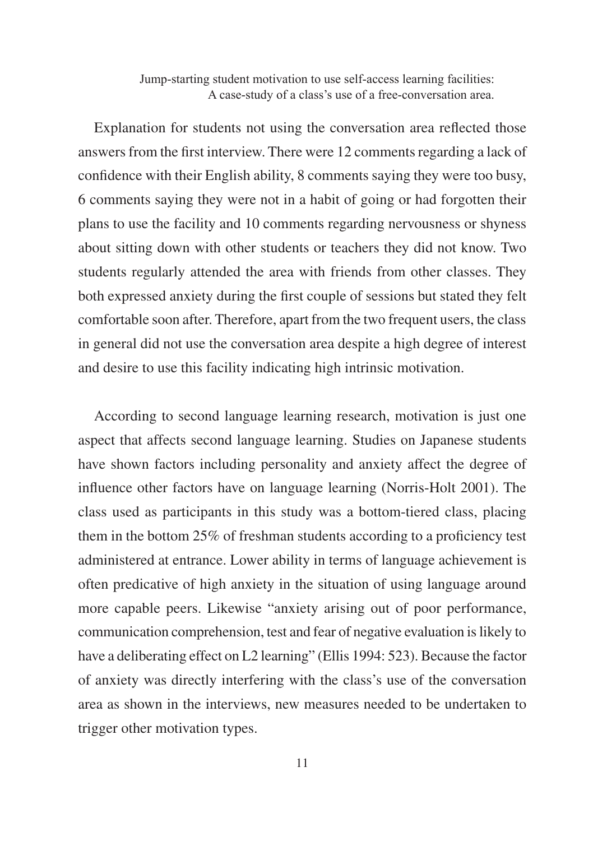Explanation for students not using the conversation area reflected those answers from the first interview. There were 12 comments regarding a lack of confidence with their English ability, 8 comments saying they were too busy, 6 comments saying they were not in a habit of going or had forgotten their plans to use the facility and 10 comments regarding nervousness or shyness about sitting down with other students or teachers they did not know. Two students regularly attended the area with friends from other classes. They both expressed anxiety during the first couple of sessions but stated they felt comfortable soon after. Therefore, apart from the two frequent users, the class in general did not use the conversation area despite a high degree of interest and desire to use this facility indicating high intrinsic motivation.

According to second language learning research, motivation is just one aspect that affects second language learning. Studies on Japanese students have shown factors including personality and anxiety affect the degree of influence other factors have on language learning (Norris-Holt 2001). The class used as participants in this study was a bottom-tiered class, placing them in the bottom 25% of freshman students according to a proficiency test administered at entrance. Lower ability in terms of language achievement is often predicative of high anxiety in the situation of using language around more capable peers. Likewise "anxiety arising out of poor performance, communication comprehension, test and fear of negative evaluation is likely to have a deliberating effect on L2 learning" (Ellis 1994: 523). Because the factor of anxiety was directly interfering with the class's use of the conversation area as shown in the interviews, new measures needed to be undertaken to trigger other motivation types.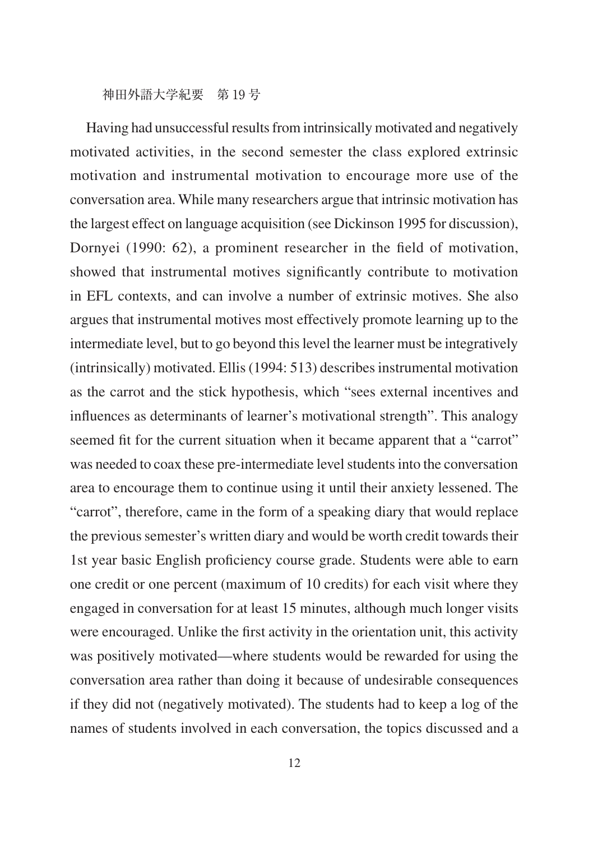Having had unsuccessful results from intrinsically motivated and negatively motivated activities, in the second semester the class explored extrinsic motivation and instrumental motivation to encourage more use of the conversation area. While many researchers argue that intrinsic motivation has the largest effect on language acquisition (see Dickinson 1995 for discussion), Dornyei (1990: 62), a prominent researcher in the field of motivation, showed that instrumental motives significantly contribute to motivation in EFL contexts, and can involve a number of extrinsic motives. She also argues that instrumental motives most effectively promote learning up to the intermediate level, but to go beyond this level the learner must be integratively (intrinsically) motivated. Ellis (1994: 513) describes instrumental motivation as the carrot and the stick hypothesis, which "sees external incentives and influences as determinants of learner's motivational strength". This analogy seemed fit for the current situation when it became apparent that a "carrot" was needed to coax these pre-intermediate level students into the conversation area to encourage them to continue using it until their anxiety lessened. The "carrot", therefore, came in the form of a speaking diary that would replace the previous semester's written diary and would be worth credit towards their 1st year basic English proficiency course grade. Students were able to earn one credit or one percent (maximum of 10 credits) for each visit where they engaged in conversation for at least 15 minutes, although much longer visits were encouraged. Unlike the first activity in the orientation unit, this activity was positively motivated—where students would be rewarded for using the conversation area rather than doing it because of undesirable consequences if they did not (negatively motivated). The students had to keep a log of the names of students involved in each conversation, the topics discussed and a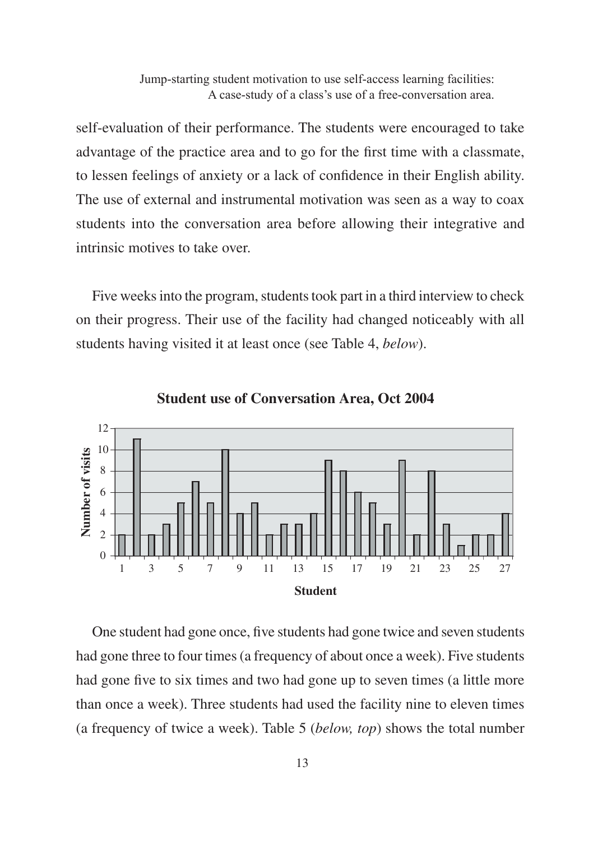self-evaluation of their performance. The students were encouraged to take advantage of the practice area and to go for the first time with a classmate, to lessen feelings of anxiety or a lack of confidence in their English ability. The use of external and instrumental motivation was seen as a way to coax students into the conversation area before allowing their integrative and intrinsic motives to take over

Five weeks into the program, students took part in a third interview to check on their progress. Their use of the facility had changed noticeably with all students having visited it at least once (see Table 4, below).





One student had gone once, five students had gone twice and seven students had gone three to four times (a frequency of about once a week). Five students had gone five to six times and two had gone up to seven times (a little more than once a week). Three students had used the facility nine to eleven times (a frequency of twice a week). Table 5 (below, top) shows the total number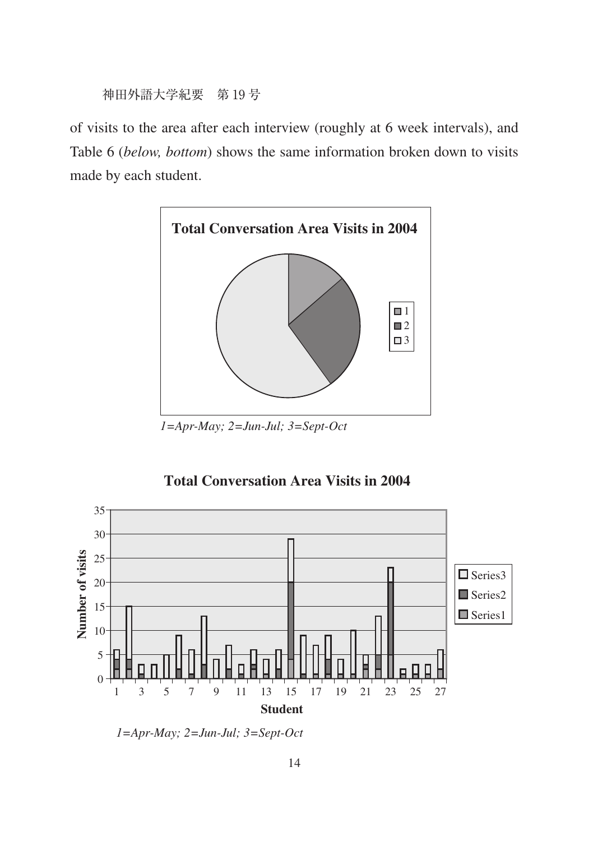of visits to the area after each interview (roughly at 6 week intervals), and Table 6 (below, bottom) shows the same information broken down to visits made by each student.



 $1 = Apr$ -May;  $2 = Jun$ -Jul;  $3 = Sept$ -Oct

# **Total Conversation Area Visits in 2004**



 $1 = Apr$ -May;  $2 = Jun$ -Jul;  $3 = Sept$ -Oct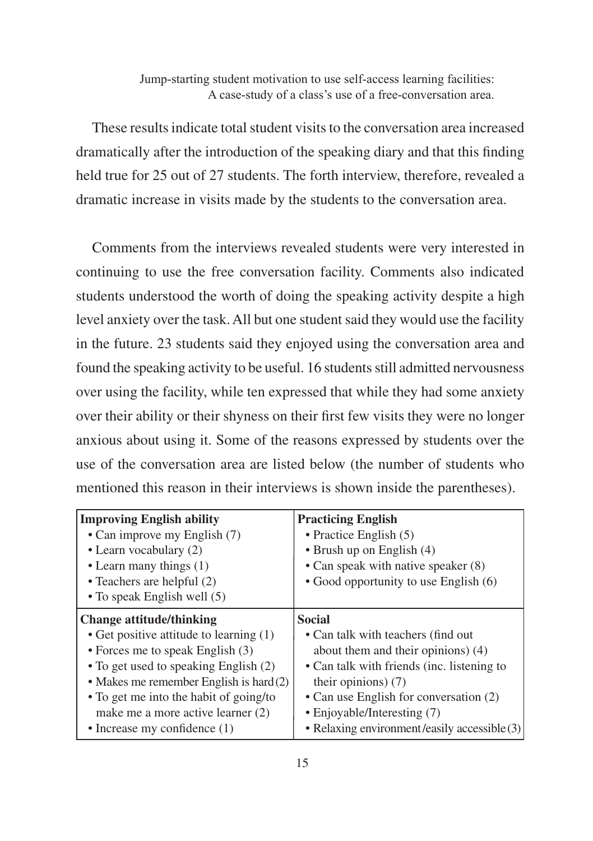These results indicate total student visits to the conversation area increased dramatically after the introduction of the speaking diary and that this finding held true for 25 out of 27 students. The forth interview, therefore, revealed a dramatic increase in visits made by the students to the conversation area.

Comments from the interviews revealed students were very interested in continuing to use the free conversation facility. Comments also indicated students understood the worth of doing the speaking activity despite a high level anxiety over the task. All but one student said they would use the facility in the future. 23 students said they enjoyed using the conversation area and found the speaking activity to be useful. 16 students still admitted nervousness over using the facility, while ten expressed that while they had some anxiety over their ability or their shyness on their first few visits they were no longer anxious about using it. Some of the reasons expressed by students over the use of the conversation area are listed below (the number of students who mentioned this reason in their interviews is shown inside the parentheses).

| <b>Improving English ability</b><br>• Can improve my English (7)<br>• Learn vocabulary (2)<br>• Learn many things $(1)$<br>$\bullet$ Teachers are helpful (2)<br>• To speak English well (5) | <b>Practicing English</b><br>• Practice English $(5)$<br>$\bullet$ Brush up on English (4)<br>• Can speak with native speaker (8)<br>• Good opportunity to use English (6) |
|----------------------------------------------------------------------------------------------------------------------------------------------------------------------------------------------|----------------------------------------------------------------------------------------------------------------------------------------------------------------------------|
| <b>Change attitude/thinking</b>                                                                                                                                                              | <b>Social</b>                                                                                                                                                              |
| • Get positive attitude to learning (1)                                                                                                                                                      | • Can talk with teachers (find out)                                                                                                                                        |
| • Forces me to speak English (3)                                                                                                                                                             | about them and their opinions) (4)                                                                                                                                         |
| • To get used to speaking English (2)                                                                                                                                                        | • Can talk with friends (inc. listening to                                                                                                                                 |
| • Makes me remember English is hard $(2)$                                                                                                                                                    | their opinions) $(7)$                                                                                                                                                      |
| • To get me into the habit of going/to                                                                                                                                                       | • Can use English for conversation (2)                                                                                                                                     |
| make me a more active learner (2)                                                                                                                                                            | • Enjoyable/Interesting (7)                                                                                                                                                |
| $\bullet$ Increase my confidence $(1)$                                                                                                                                                       | • Relaxing environment/easily accessible (3)                                                                                                                               |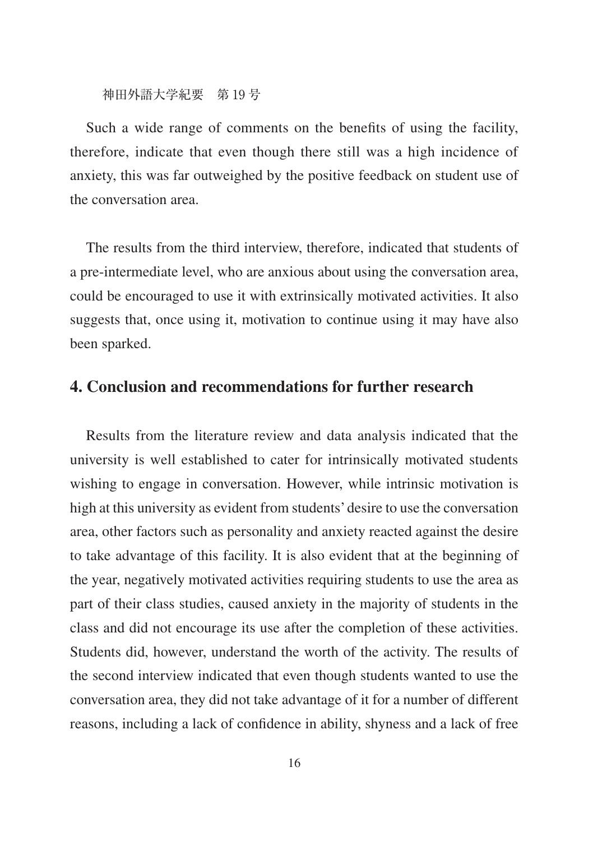Such a wide range of comments on the benefits of using the facility, therefore, indicate that even though there still was a high incidence of anxiety, this was far outweighed by the positive feedback on student use of the conversation area.

The results from the third interview, therefore, indicated that students of a pre-intermediate level, who are anxious about using the conversation area, could be encouraged to use it with extrinsically motivated activities. It also suggests that, once using it, motivation to continue using it may have also been sparked.

# **4. Conclusion and recommendations for further research**

Results from the literature review and data analysis indicated that the university is well established to cater for intrinsically motivated students wishing to engage in conversation. However, while intrinsic motivation is high at this university as evident from students' desire to use the conversation area, other factors such as personality and anxiety reacted against the desire to take advantage of this facility. It is also evident that at the beginning of the year, negatively motivated activities requiring students to use the area as part of their class studies, caused anxiety in the majority of students in the class and did not encourage its use after the completion of these activities. Students did, however, understand the worth of the activity. The results of the second interview indicated that even though students wanted to use the conversation area, they did not take advantage of it for a number of different reasons, including a lack of confidence in ability, shyness and a lack of free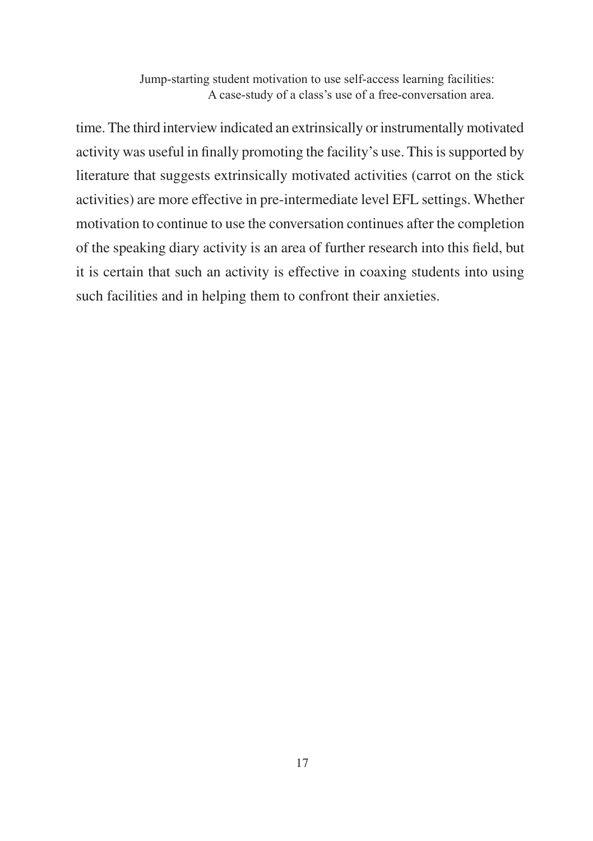time. The third interview indicated an extrinsically or instrumentally motivated activity was useful in finally promoting the facility's use. This is supported by literature that suggests extrinsically motivated activities (carrot on the stick activities) are more effective in pre-intermediate level EFL settings. Whether motivation to continue to use the conversation continues after the completion of the speaking diary activity is an area of further research into this field, but it is certain that such an activity is effective in coaxing students into using such facilities and in helping them to confront their anxieties.